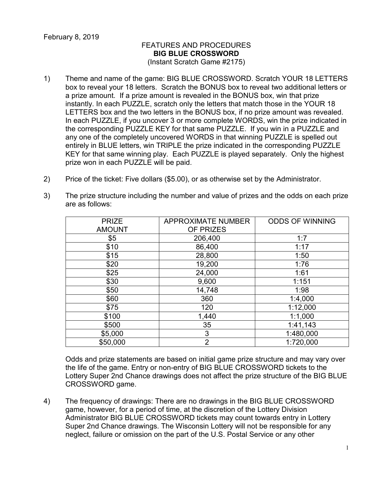## FEATURES AND PROCEDURES **BIG BLUE CROSSWORD** (Instant Scratch Game #2175)

- 1) Theme and name of the game: BIG BLUE CROSSWORD. Scratch YOUR 18 LETTERS box to reveal your 18 letters. Scratch the BONUS box to reveal two additional letters or a prize amount. If a prize amount is revealed in the BONUS box, win that prize instantly. In each PUZZLE, scratch only the letters that match those in the YOUR 18 LETTERS box and the two letters in the BONUS box, if no prize amount was revealed. In each PUZZLE, if you uncover 3 or more complete WORDS, win the prize indicated in the corresponding PUZZLE KEY for that same PUZZLE. If you win in a PUZZLE and any one of the completely uncovered WORDS in that winning PUZZLE is spelled out entirely in BLUE letters, win TRIPLE the prize indicated in the corresponding PUZZLE KEY for that same winning play. Each PUZZLE is played separately. Only the highest prize won in each PUZZLE will be paid.
- 2) Price of the ticket: Five dollars (\$5.00), or as otherwise set by the Administrator.
- 3) The prize structure including the number and value of prizes and the odds on each prize are as follows:

| <b>PRIZE</b>  | <b>APPROXIMATE NUMBER</b> | <b>ODDS OF WINNING</b> |
|---------------|---------------------------|------------------------|
| <b>AMOUNT</b> | OF PRIZES                 |                        |
| \$5           | 206,400                   | 1:7                    |
| \$10          | 86,400                    | 1:17                   |
| \$15          | 28,800                    | 1:50                   |
| \$20          | 19,200                    | 1:76                   |
| \$25          | 24,000                    | 1:61                   |
| \$30          | 9,600                     | 1:151                  |
| \$50          | 14,748                    | 1:98                   |
| \$60          | 360                       | 1:4,000                |
| \$75          | 120                       | 1:12,000               |
| \$100         | 1,440                     | 1:1,000                |
| \$500         | 35                        | 1:41,143               |
| \$5,000       | 3                         | 1:480,000              |
| \$50,000      | $\overline{2}$            | 1:720,000              |

Odds and prize statements are based on initial game prize structure and may vary over the life of the game. Entry or non-entry of BIG BLUE CROSSWORD tickets to the Lottery Super 2nd Chance drawings does not affect the prize structure of the BIG BLUE CROSSWORD game.

4) The frequency of drawings: There are no drawings in the BIG BLUE CROSSWORD game, however, for a period of time, at the discretion of the Lottery Division Administrator BIG BLUE CROSSWORD tickets may count towards entry in Lottery Super 2nd Chance drawings. The Wisconsin Lottery will not be responsible for any neglect, failure or omission on the part of the U.S. Postal Service or any other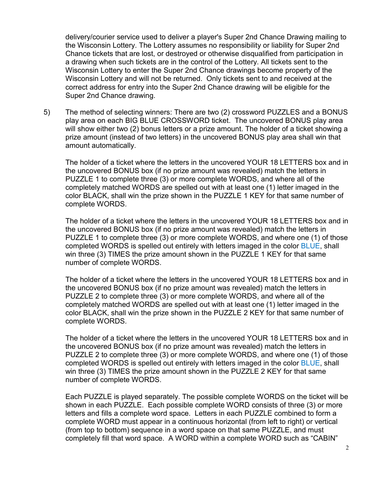delivery/courier service used to deliver a player's Super 2nd Chance Drawing mailing to the Wisconsin Lottery. The Lottery assumes no responsibility or liability for Super 2nd Chance tickets that are lost, or destroyed or otherwise disqualified from participation in a drawing when such tickets are in the control of the Lottery. All tickets sent to the Wisconsin Lottery to enter the Super 2nd Chance drawings become property of the Wisconsin Lottery and will not be returned. Only tickets sent to and received at the correct address for entry into the Super 2nd Chance drawing will be eligible for the Super 2nd Chance drawing.

5) The method of selecting winners: There are two (2) crossword PUZZLES and a BONUS play area on each BIG BLUE CROSSWORD ticket. The uncovered BONUS play area will show either two (2) bonus letters or a prize amount. The holder of a ticket showing a prize amount (instead of two letters) in the uncovered BONUS play area shall win that amount automatically.

The holder of a ticket where the letters in the uncovered YOUR 18 LETTERS box and in the uncovered BONUS box (if no prize amount was revealed) match the letters in PUZZLE 1 to complete three (3) or more complete WORDS, and where all of the completely matched WORDS are spelled out with at least one (1) letter imaged in the color BLACK, shall win the prize shown in the PUZZLE 1 KEY for that same number of complete WORDS.

The holder of a ticket where the letters in the uncovered YOUR 18 LETTERS box and in the uncovered BONUS box (if no prize amount was revealed) match the letters in PUZZLE 1 to complete three (3) or more complete WORDS, and where one (1) of those completed WORDS is spelled out entirely with letters imaged in the color BLUE, shall win three (3) TIMES the prize amount shown in the PUZZLE 1 KEY for that same number of complete WORDS.

The holder of a ticket where the letters in the uncovered YOUR 18 LETTERS box and in the uncovered BONUS box (if no prize amount was revealed) match the letters in PUZZLE 2 to complete three (3) or more complete WORDS, and where all of the completely matched WORDS are spelled out with at least one (1) letter imaged in the color BLACK, shall win the prize shown in the PUZZLE 2 KEY for that same number of complete WORDS.

The holder of a ticket where the letters in the uncovered YOUR 18 LETTERS box and in the uncovered BONUS box (if no prize amount was revealed) match the letters in PUZZLE 2 to complete three (3) or more complete WORDS, and where one (1) of those completed WORDS is spelled out entirely with letters imaged in the color **BLUE**, shall win three (3) TIMES the prize amount shown in the PUZZLE 2 KEY for that same number of complete WORDS.

Each PUZZLE is played separately. The possible complete WORDS on the ticket will be shown in each PUZZLE. Each possible complete WORD consists of three (3) or more letters and fills a complete word space. Letters in each PUZZLE combined to form a complete WORD must appear in a continuous horizontal (from left to right) or vertical (from top to bottom) sequence in a word space on that same PUZZLE, and must completely fill that word space. A WORD within a complete WORD such as "CABIN"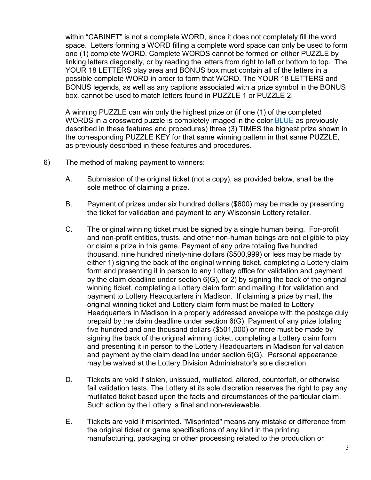within "CABINET" is not a complete WORD, since it does not completely fill the word space. Letters forming a WORD filling a complete word space can only be used to form one (1) complete WORD. Complete WORDS cannot be formed on either PUZZLE by linking letters diagonally, or by reading the letters from right to left or bottom to top. The YOUR 18 LETTERS play area and BONUS box must contain all of the letters in a possible complete WORD in order to form that WORD. The YOUR 18 LETTERS and BONUS legends, as well as any captions associated with a prize symbol in the BONUS box, cannot be used to match letters found in PUZZLE 1 or PUZZLE 2.

A winning PUZZLE can win only the highest prize or (if one (1) of the completed WORDS in a crossword puzzle is completely imaged in the color **BLUE** as previously described in these features and procedures) three (3) TIMES the highest prize shown in the corresponding PUZZLE KEY for that same winning pattern in that same PUZZLE, as previously described in these features and procedures.

- 6) The method of making payment to winners:
	- A. Submission of the original ticket (not a copy), as provided below, shall be the sole method of claiming a prize.
	- B. Payment of prizes under six hundred dollars (\$600) may be made by presenting the ticket for validation and payment to any Wisconsin Lottery retailer.
	- C. The original winning ticket must be signed by a single human being. For-profit and non-profit entities, trusts, and other non-human beings are not eligible to play or claim a prize in this game. Payment of any prize totaling five hundred thousand, nine hundred ninety-nine dollars (\$500,999) or less may be made by either 1) signing the back of the original winning ticket, completing a Lottery claim form and presenting it in person to any Lottery office for validation and payment by the claim deadline under section 6(G), or 2) by signing the back of the original winning ticket, completing a Lottery claim form and mailing it for validation and payment to Lottery Headquarters in Madison. If claiming a prize by mail, the original winning ticket and Lottery claim form must be mailed to Lottery Headquarters in Madison in a properly addressed envelope with the postage duly prepaid by the claim deadline under section 6(G). Payment of any prize totaling five hundred and one thousand dollars (\$501,000) or more must be made by signing the back of the original winning ticket, completing a Lottery claim form and presenting it in person to the Lottery Headquarters in Madison for validation and payment by the claim deadline under section 6(G). Personal appearance may be waived at the Lottery Division Administrator's sole discretion.
	- D. Tickets are void if stolen, unissued, mutilated, altered, counterfeit, or otherwise fail validation tests. The Lottery at its sole discretion reserves the right to pay any mutilated ticket based upon the facts and circumstances of the particular claim. Such action by the Lottery is final and non-reviewable.
	- E. Tickets are void if misprinted. "Misprinted" means any mistake or difference from the original ticket or game specifications of any kind in the printing, manufacturing, packaging or other processing related to the production or